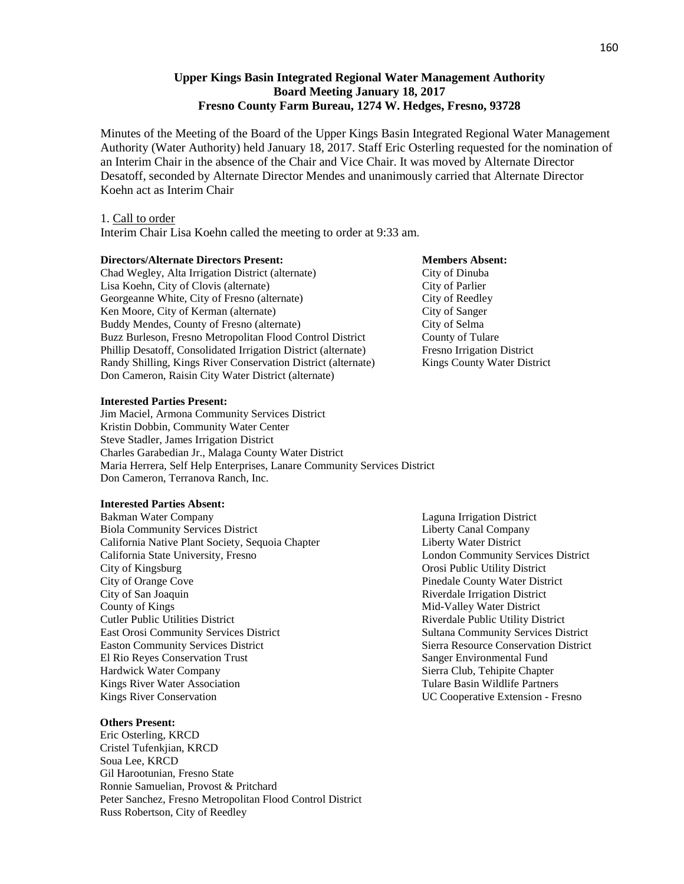## **Upper Kings Basin Integrated Regional Water Management Authority Board Meeting January 18, 2017 Fresno County Farm Bureau, 1274 W. Hedges, Fresno, 93728**

Minutes of the Meeting of the Board of the Upper Kings Basin Integrated Regional Water Management Authority (Water Authority) held January 18, 2017. Staff Eric Osterling requested for the nomination of an Interim Chair in the absence of the Chair and Vice Chair. It was moved by Alternate Director Desatoff, seconded by Alternate Director Mendes and unanimously carried that Alternate Director Koehn act as Interim Chair

#### 1. Call to order

Interim Chair Lisa Koehn called the meeting to order at 9:33 am.

#### **Directors/Alternate Directors Present: Members Absent: Members Absent:**

### Chad Wegley, Alta Irrigation District (alternate) City of Dinuba Lisa Koehn, City of Clovis (alternate) City of Parlier Georgeanne White, City of Fresno (alternate) City of Reedley<br>
Ken Moore, City of Kerman (alternate) City of Sanger Ken Moore, City of Kerman (alternate) Buddy Mendes, County of Fresno (alternate) City of Selma Buzz Burleson, Fresno Metropolitan Flood Control District County of Tulare Phillip Desatoff, Consolidated Irrigation District (alternate) Fresno Irrigation District Randy Shilling, Kings River Conservation District (alternate) Kings County Water District Don Cameron, Raisin City Water District (alternate)

#### **Interested Parties Present:**

Jim Maciel, Armona Community Services District Kristin Dobbin, Community Water Center Steve Stadler, James Irrigation District Charles Garabedian Jr., Malaga County Water District Maria Herrera, Self Help Enterprises, Lanare Community Services District Don Cameron, Terranova Ranch, Inc.

#### **Interested Parties Absent:**

Bakman Water Company Laguna Irrigation District Biola Community Services District **Liberty Canal Company** California Native Plant Society, Sequoia Chapter Liberty Water District California State University, Fresno London Community Services District City of Kingsburg Orosi Public Utility District City of Orange Cove Pinedale County Water District City of San Joaquin **Riverdale Institute City of San Joaquin** Riverdale Irrigation District County of Kings<br>
Cutler Public Utilities District<br>
Cutler Public Utilities District<br>
Cutler Public Utilities District<br>
Cutler Public Utilities District East Orosi Community Services District Sultana Community Services District Easton Community Services District Sierra Resource Conservation District El Rio Reyes Conservation Trust Sanger Environmental Fund Hardwick Water Company Sierra Club, Tehipite Chapter Kings River Water Association Tulare Basin Wildlife Partners Kings River Conservation UC Cooperative Extension - Fresno

#### **Others Present:**

Eric Osterling, KRCD Cristel Tufenkjian, KRCD Soua Lee, KRCD Gil Harootunian, Fresno State Ronnie Samuelian, Provost & Pritchard Peter Sanchez, Fresno Metropolitan Flood Control District Russ Robertson, City of Reedley

# Riverdale Public Utility District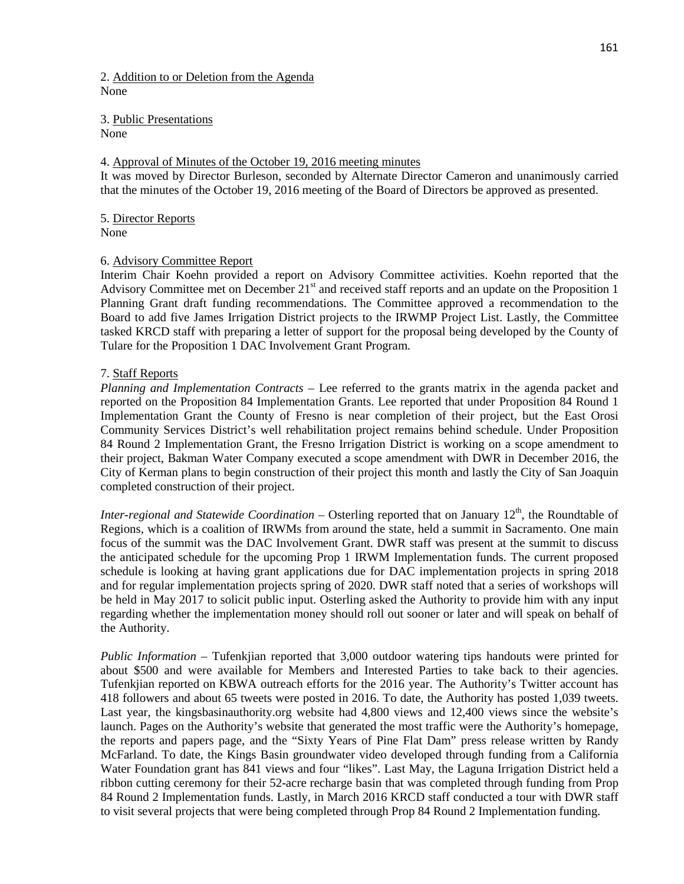2. Addition to or Deletion from the Agenda None

3. Public Presentations None

### 4. Approval of Minutes of the October 19, 2016 meeting minutes

It was moved by Director Burleson, seconded by Alternate Director Cameron and unanimously carried that the minutes of the October 19, 2016 meeting of the Board of Directors be approved as presented.

5. Director Reports None

#### 6. Advisory Committee Report

Interim Chair Koehn provided a report on Advisory Committee activities. Koehn reported that the Advisory Committee met on December 21<sup>st</sup> and received staff reports and an update on the Proposition 1 Planning Grant draft funding recommendations. The Committee approved a recommendation to the Board to add five James Irrigation District projects to the IRWMP Project List. Lastly, the Committee tasked KRCD staff with preparing a letter of support for the proposal being developed by the County of Tulare for the Proposition 1 DAC Involvement Grant Program.

### 7. Staff Reports

*Planning and Implementation Contracts* – Lee referred to the grants matrix in the agenda packet and reported on the Proposition 84 Implementation Grants. Lee reported that under Proposition 84 Round 1 Implementation Grant the County of Fresno is near completion of their project, but the East Orosi Community Services District's well rehabilitation project remains behind schedule. Under Proposition 84 Round 2 Implementation Grant, the Fresno Irrigation District is working on a scope amendment to their project, Bakman Water Company executed a scope amendment with DWR in December 2016, the City of Kerman plans to begin construction of their project this month and lastly the City of San Joaquin completed construction of their project.

*Inter-regional and Statewide Coordination* – Osterling reported that on January 12<sup>th</sup>, the Roundtable of Regions, which is a coalition of IRWMs from around the state, held a summit in Sacramento. One main focus of the summit was the DAC Involvement Grant. DWR staff was present at the summit to discuss the anticipated schedule for the upcoming Prop 1 IRWM Implementation funds. The current proposed schedule is looking at having grant applications due for DAC implementation projects in spring 2018 and for regular implementation projects spring of 2020. DWR staff noted that a series of workshops will be held in May 2017 to solicit public input. Osterling asked the Authority to provide him with any input regarding whether the implementation money should roll out sooner or later and will speak on behalf of the Authority.

*Public Information* – Tufenkjian reported that 3,000 outdoor watering tips handouts were printed for about \$500 and were available for Members and Interested Parties to take back to their agencies. Tufenkjian reported on KBWA outreach efforts for the 2016 year. The Authority's Twitter account has 418 followers and about 65 tweets were posted in 2016. To date, the Authority has posted 1,039 tweets. Last year, the kingsbasinauthority.org website had 4,800 views and 12,400 views since the website's launch. Pages on the Authority's website that generated the most traffic were the Authority's homepage, the reports and papers page, and the "Sixty Years of Pine Flat Dam" press release written by Randy McFarland. To date, the Kings Basin groundwater video developed through funding from a California Water Foundation grant has 841 views and four "likes". Last May, the Laguna Irrigation District held a ribbon cutting ceremony for their 52-acre recharge basin that was completed through funding from Prop 84 Round 2 Implementation funds. Lastly, in March 2016 KRCD staff conducted a tour with DWR staff to visit several projects that were being completed through Prop 84 Round 2 Implementation funding.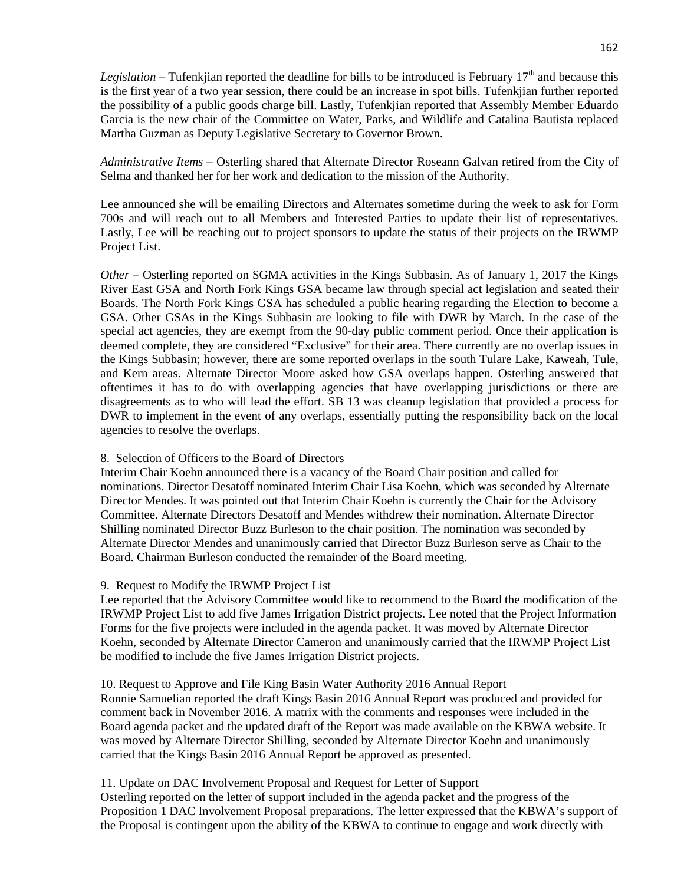*Legislation* – Tufenkjian reported the deadline for bills to be introduced is February  $17<sup>th</sup>$  and because this is the first year of a two year session, there could be an increase in spot bills. Tufenkjian further reported the possibility of a public goods charge bill. Lastly, Tufenkjian reported that Assembly Member Eduardo Garcia is the new chair of the Committee on Water, Parks, and Wildlife and Catalina Bautista replaced Martha Guzman as Deputy Legislative Secretary to Governor Brown.

*Administrative Items* – Osterling shared that Alternate Director Roseann Galvan retired from the City of Selma and thanked her for her work and dedication to the mission of the Authority.

Lee announced she will be emailing Directors and Alternates sometime during the week to ask for Form 700s and will reach out to all Members and Interested Parties to update their list of representatives. Lastly, Lee will be reaching out to project sponsors to update the status of their projects on the IRWMP Project List.

*Other* – Osterling reported on SGMA activities in the Kings Subbasin. As of January 1, 2017 the Kings River East GSA and North Fork Kings GSA became law through special act legislation and seated their Boards. The North Fork Kings GSA has scheduled a public hearing regarding the Election to become a GSA. Other GSAs in the Kings Subbasin are looking to file with DWR by March. In the case of the special act agencies, they are exempt from the 90-day public comment period. Once their application is deemed complete, they are considered "Exclusive" for their area. There currently are no overlap issues in the Kings Subbasin; however, there are some reported overlaps in the south Tulare Lake, Kaweah, Tule, and Kern areas. Alternate Director Moore asked how GSA overlaps happen. Osterling answered that oftentimes it has to do with overlapping agencies that have overlapping jurisdictions or there are disagreements as to who will lead the effort. SB 13 was cleanup legislation that provided a process for DWR to implement in the event of any overlaps, essentially putting the responsibility back on the local agencies to resolve the overlaps.

# 8. Selection of Officers to the Board of Directors

Interim Chair Koehn announced there is a vacancy of the Board Chair position and called for nominations. Director Desatoff nominated Interim Chair Lisa Koehn, which was seconded by Alternate Director Mendes. It was pointed out that Interim Chair Koehn is currently the Chair for the Advisory Committee. Alternate Directors Desatoff and Mendes withdrew their nomination. Alternate Director Shilling nominated Director Buzz Burleson to the chair position. The nomination was seconded by Alternate Director Mendes and unanimously carried that Director Buzz Burleson serve as Chair to the Board. Chairman Burleson conducted the remainder of the Board meeting.

# 9. Request to Modify the IRWMP Project List

Lee reported that the Advisory Committee would like to recommend to the Board the modification of the IRWMP Project List to add five James Irrigation District projects. Lee noted that the Project Information Forms for the five projects were included in the agenda packet. It was moved by Alternate Director Koehn, seconded by Alternate Director Cameron and unanimously carried that the IRWMP Project List be modified to include the five James Irrigation District projects.

# 10. Request to Approve and File King Basin Water Authority 2016 Annual Report

Ronnie Samuelian reported the draft Kings Basin 2016 Annual Report was produced and provided for comment back in November 2016. A matrix with the comments and responses were included in the Board agenda packet and the updated draft of the Report was made available on the KBWA website. It was moved by Alternate Director Shilling, seconded by Alternate Director Koehn and unanimously carried that the Kings Basin 2016 Annual Report be approved as presented.

# 11. Update on DAC Involvement Proposal and Request for Letter of Support

Osterling reported on the letter of support included in the agenda packet and the progress of the Proposition 1 DAC Involvement Proposal preparations. The letter expressed that the KBWA's support of the Proposal is contingent upon the ability of the KBWA to continue to engage and work directly with